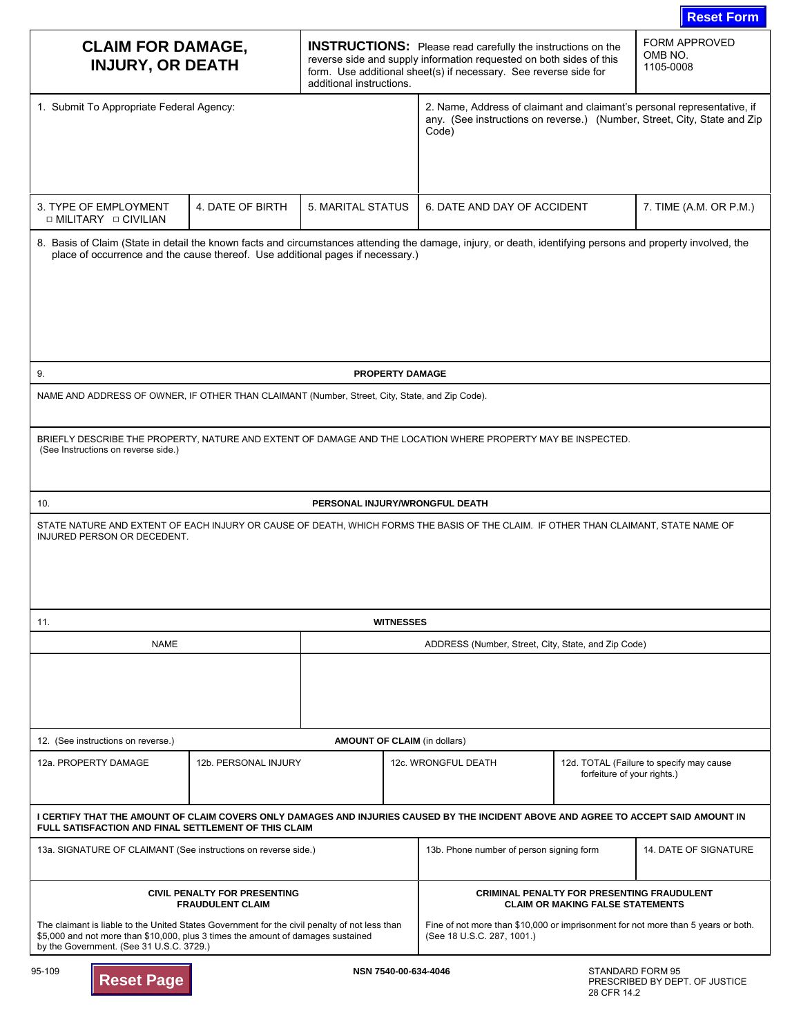| FORM APPROVED<br><b>INSTRUCTIONS:</b> Please read carefully the instructions on the<br><b>CLAIM FOR DAMAGE,</b><br>OMB NO.<br>reverse side and supply information requested on both sides of this<br><b>INJURY, OR DEATH</b><br>1105-0008<br>form. Use additional sheet(s) if necessary. See reverse side for<br>additional instructions.<br>1. Submit To Appropriate Federal Agency:<br>Code)<br>4. DATE OF BIRTH<br><b>5. MARITAL STATUS</b><br>3. TYPE OF EMPLOYMENT<br>6. DATE AND DAY OF ACCIDENT<br>□ MILITARY □ CIVILIAN<br>place of occurrence and the cause thereof. Use additional pages if necessary.)<br>9.<br>PROPERTY DAMAGE<br>NAME AND ADDRESS OF OWNER, IF OTHER THAN CLAIMANT (Number, Street, City, State, and Zip Code).<br>BRIEFLY DESCRIBE THE PROPERTY, NATURE AND EXTENT OF DAMAGE AND THE LOCATION WHERE PROPERTY MAY BE INSPECTED.<br>(See Instructions on reverse side.)<br>10.<br>PERSONAL INJURY/WRONGFUL DEATH<br>STATE NATURE AND EXTENT OF EACH INJURY OR CAUSE OF DEATH, WHICH FORMS THE BASIS OF THE CLAIM. IF OTHER THAN CLAIMANT, STATE NAME OF<br>INJURED PERSON OR DECEDENT.<br><b>WITNESSES</b><br>11.<br><b>NAME</b><br>ADDRESS (Number, Street, City, State, and Zip Code)<br><b>AMOUNT OF CLAIM (in dollars)</b><br>12. (See instructions on reverse.)<br>12d. TOTAL (Failure to specify may cause<br>12a. PROPERTY DAMAGE<br>12b. PERSONAL INJURY<br>12c. WRONGFUL DEATH<br>forfeiture of your rights.)<br>I CERTIFY THAT THE AMOUNT OF CLAIM COVERS ONLY DAMAGES AND INJURIES CAUSED BY THE INCIDENT ABOVE AND AGREE TO ACCEPT SAID AMOUNT IN<br>FULL SATISFACTION AND FINAL SETTLEMENT OF THIS CLAIM<br>13b. Phone number of person signing form<br>13a. SIGNATURE OF CLAIMANT (See instructions on reverse side.)<br><b>CIVIL PENALTY FOR PRESENTING</b><br><b>CRIMINAL PENALTY FOR PRESENTING FRAUDULENT</b><br><b>FRAUDULENT CLAIM</b><br><b>CLAIM OR MAKING FALSE STATEMENTS</b><br>The claimant is liable to the United States Government for the civil penalty of not less than<br>\$5,000 and not more than \$10,000, plus 3 times the amount of damages sustained<br>(See 18 U.S.C. 287, 1001.)<br>by the Government. (See 31 U.S.C. 3729.) |                                                                                                                                                             |  |  |  |                                                                                                                                                     |                       | <b>Reset Form</b>      |  |
|--------------------------------------------------------------------------------------------------------------------------------------------------------------------------------------------------------------------------------------------------------------------------------------------------------------------------------------------------------------------------------------------------------------------------------------------------------------------------------------------------------------------------------------------------------------------------------------------------------------------------------------------------------------------------------------------------------------------------------------------------------------------------------------------------------------------------------------------------------------------------------------------------------------------------------------------------------------------------------------------------------------------------------------------------------------------------------------------------------------------------------------------------------------------------------------------------------------------------------------------------------------------------------------------------------------------------------------------------------------------------------------------------------------------------------------------------------------------------------------------------------------------------------------------------------------------------------------------------------------------------------------------------------------------------------------------------------------------------------------------------------------------------------------------------------------------------------------------------------------------------------------------------------------------------------------------------------------------------------------------------------------------------------------------------------------------------------------------------------------------------------------------------------------------------------------------------|-------------------------------------------------------------------------------------------------------------------------------------------------------------|--|--|--|-----------------------------------------------------------------------------------------------------------------------------------------------------|-----------------------|------------------------|--|
|                                                                                                                                                                                                                                                                                                                                                                                                                                                                                                                                                                                                                                                                                                                                                                                                                                                                                                                                                                                                                                                                                                                                                                                                                                                                                                                                                                                                                                                                                                                                                                                                                                                                                                                                                                                                                                                                                                                                                                                                                                                                                                                                                                                                  |                                                                                                                                                             |  |  |  |                                                                                                                                                     |                       |                        |  |
|                                                                                                                                                                                                                                                                                                                                                                                                                                                                                                                                                                                                                                                                                                                                                                                                                                                                                                                                                                                                                                                                                                                                                                                                                                                                                                                                                                                                                                                                                                                                                                                                                                                                                                                                                                                                                                                                                                                                                                                                                                                                                                                                                                                                  |                                                                                                                                                             |  |  |  | 2. Name, Address of claimant and claimant's personal representative, if<br>any. (See instructions on reverse.) (Number, Street, City, State and Zip |                       |                        |  |
|                                                                                                                                                                                                                                                                                                                                                                                                                                                                                                                                                                                                                                                                                                                                                                                                                                                                                                                                                                                                                                                                                                                                                                                                                                                                                                                                                                                                                                                                                                                                                                                                                                                                                                                                                                                                                                                                                                                                                                                                                                                                                                                                                                                                  |                                                                                                                                                             |  |  |  |                                                                                                                                                     |                       | 7. TIME (A.M. OR P.M.) |  |
|                                                                                                                                                                                                                                                                                                                                                                                                                                                                                                                                                                                                                                                                                                                                                                                                                                                                                                                                                                                                                                                                                                                                                                                                                                                                                                                                                                                                                                                                                                                                                                                                                                                                                                                                                                                                                                                                                                                                                                                                                                                                                                                                                                                                  | 8. Basis of Claim (State in detail the known facts and circumstances attending the damage, injury, or death, identifying persons and property involved, the |  |  |  |                                                                                                                                                     |                       |                        |  |
|                                                                                                                                                                                                                                                                                                                                                                                                                                                                                                                                                                                                                                                                                                                                                                                                                                                                                                                                                                                                                                                                                                                                                                                                                                                                                                                                                                                                                                                                                                                                                                                                                                                                                                                                                                                                                                                                                                                                                                                                                                                                                                                                                                                                  |                                                                                                                                                             |  |  |  |                                                                                                                                                     |                       |                        |  |
|                                                                                                                                                                                                                                                                                                                                                                                                                                                                                                                                                                                                                                                                                                                                                                                                                                                                                                                                                                                                                                                                                                                                                                                                                                                                                                                                                                                                                                                                                                                                                                                                                                                                                                                                                                                                                                                                                                                                                                                                                                                                                                                                                                                                  |                                                                                                                                                             |  |  |  |                                                                                                                                                     |                       |                        |  |
|                                                                                                                                                                                                                                                                                                                                                                                                                                                                                                                                                                                                                                                                                                                                                                                                                                                                                                                                                                                                                                                                                                                                                                                                                                                                                                                                                                                                                                                                                                                                                                                                                                                                                                                                                                                                                                                                                                                                                                                                                                                                                                                                                                                                  |                                                                                                                                                             |  |  |  |                                                                                                                                                     |                       |                        |  |
|                                                                                                                                                                                                                                                                                                                                                                                                                                                                                                                                                                                                                                                                                                                                                                                                                                                                                                                                                                                                                                                                                                                                                                                                                                                                                                                                                                                                                                                                                                                                                                                                                                                                                                                                                                                                                                                                                                                                                                                                                                                                                                                                                                                                  |                                                                                                                                                             |  |  |  |                                                                                                                                                     |                       |                        |  |
|                                                                                                                                                                                                                                                                                                                                                                                                                                                                                                                                                                                                                                                                                                                                                                                                                                                                                                                                                                                                                                                                                                                                                                                                                                                                                                                                                                                                                                                                                                                                                                                                                                                                                                                                                                                                                                                                                                                                                                                                                                                                                                                                                                                                  |                                                                                                                                                             |  |  |  |                                                                                                                                                     |                       |                        |  |
|                                                                                                                                                                                                                                                                                                                                                                                                                                                                                                                                                                                                                                                                                                                                                                                                                                                                                                                                                                                                                                                                                                                                                                                                                                                                                                                                                                                                                                                                                                                                                                                                                                                                                                                                                                                                                                                                                                                                                                                                                                                                                                                                                                                                  |                                                                                                                                                             |  |  |  |                                                                                                                                                     |                       |                        |  |
|                                                                                                                                                                                                                                                                                                                                                                                                                                                                                                                                                                                                                                                                                                                                                                                                                                                                                                                                                                                                                                                                                                                                                                                                                                                                                                                                                                                                                                                                                                                                                                                                                                                                                                                                                                                                                                                                                                                                                                                                                                                                                                                                                                                                  |                                                                                                                                                             |  |  |  |                                                                                                                                                     |                       |                        |  |
|                                                                                                                                                                                                                                                                                                                                                                                                                                                                                                                                                                                                                                                                                                                                                                                                                                                                                                                                                                                                                                                                                                                                                                                                                                                                                                                                                                                                                                                                                                                                                                                                                                                                                                                                                                                                                                                                                                                                                                                                                                                                                                                                                                                                  |                                                                                                                                                             |  |  |  |                                                                                                                                                     |                       |                        |  |
|                                                                                                                                                                                                                                                                                                                                                                                                                                                                                                                                                                                                                                                                                                                                                                                                                                                                                                                                                                                                                                                                                                                                                                                                                                                                                                                                                                                                                                                                                                                                                                                                                                                                                                                                                                                                                                                                                                                                                                                                                                                                                                                                                                                                  |                                                                                                                                                             |  |  |  |                                                                                                                                                     | 14. DATE OF SIGNATURE |                        |  |
|                                                                                                                                                                                                                                                                                                                                                                                                                                                                                                                                                                                                                                                                                                                                                                                                                                                                                                                                                                                                                                                                                                                                                                                                                                                                                                                                                                                                                                                                                                                                                                                                                                                                                                                                                                                                                                                                                                                                                                                                                                                                                                                                                                                                  |                                                                                                                                                             |  |  |  | Fine of not more than \$10,000 or imprisonment for not more than 5 years or both.                                                                   |                       |                        |  |
| STANDARD FORM 95<br>95-109<br>NSN 7540-00-634-4046                                                                                                                                                                                                                                                                                                                                                                                                                                                                                                                                                                                                                                                                                                                                                                                                                                                                                                                                                                                                                                                                                                                                                                                                                                                                                                                                                                                                                                                                                                                                                                                                                                                                                                                                                                                                                                                                                                                                                                                                                                                                                                                                               |                                                                                                                                                             |  |  |  |                                                                                                                                                     |                       |                        |  |